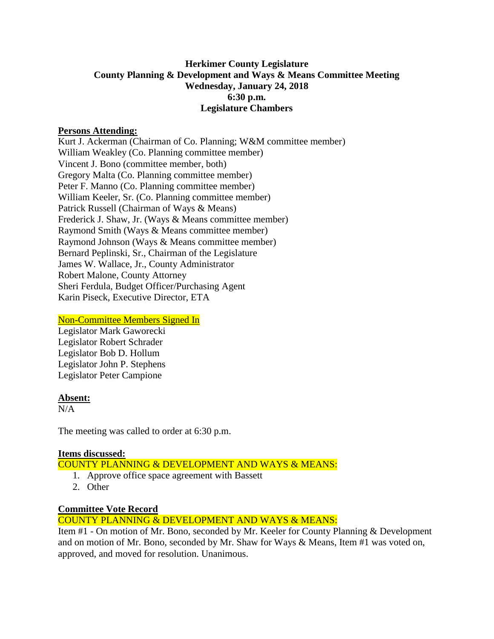# **Herkimer County Legislature County Planning & Development and Ways & Means Committee Meeting Wednesday, January 24, 2018 6:30 p.m. Legislature Chambers**

#### **Persons Attending:**

Kurt J. Ackerman (Chairman of Co. Planning; W&M committee member) William Weakley (Co. Planning committee member) Vincent J. Bono (committee member, both) Gregory Malta (Co. Planning committee member) Peter F. Manno (Co. Planning committee member) William Keeler, Sr. (Co. Planning committee member) Patrick Russell (Chairman of Ways & Means) Frederick J. Shaw, Jr. (Ways & Means committee member) Raymond Smith (Ways & Means committee member) Raymond Johnson (Ways & Means committee member) Bernard Peplinski, Sr., Chairman of the Legislature James W. Wallace, Jr., County Administrator Robert Malone, County Attorney Sheri Ferdula, Budget Officer/Purchasing Agent Karin Piseck, Executive Director, ETA

#### Non-Committee Members Signed In

Legislator Mark Gaworecki Legislator Robert Schrader Legislator Bob D. Hollum Legislator John P. Stephens Legislator Peter Campione

#### **Absent:**

N/A

The meeting was called to order at 6:30 p.m.

## **Items discussed:**

## COUNTY PLANNING & DEVELOPMENT AND WAYS & MEANS:

- 1. Approve office space agreement with Bassett
- 2. Other

## **Committee Vote Record**

## COUNTY PLANNING & DEVELOPMENT AND WAYS & MEANS:

Item #1 - On motion of Mr. Bono, seconded by Mr. Keeler for County Planning & Development and on motion of Mr. Bono, seconded by Mr. Shaw for Ways & Means, Item #1 was voted on, approved, and moved for resolution. Unanimous.